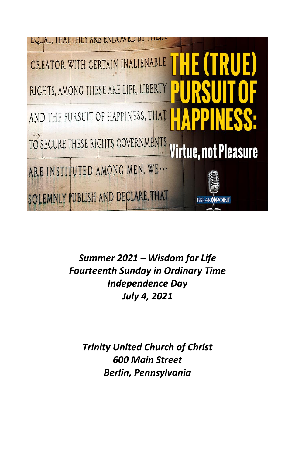

*Summer 2021 – Wisdom for Life Fourteenth Sunday in Ordinary Time Independence Day July 4, 2021*

*Trinity United Church of Christ 600 Main Street Berlin, Pennsylvania*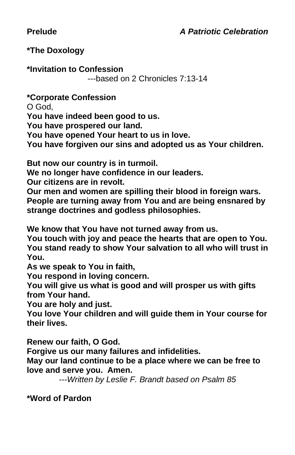## **Prelude** *A Patriotic Celebration*

#### **\*The Doxology**

**\*Invitation to Confession**

---based on 2 Chronicles 7:13-14

**\*Corporate Confession**

O God,

**You have indeed been good to us.**

**You have prospered our land.**

**You have opened Your heart to us in love.**

**You have forgiven our sins and adopted us as Your children.**

**But now our country is in turmoil.**

**We no longer have confidence in our leaders.**

**Our citizens are in revolt.**

**Our men and women are spilling their blood in foreign wars. People are turning away from You and are being ensnared by strange doctrines and godless philosophies.**

**We know that You have not turned away from us.**

**You touch with joy and peace the hearts that are open to You. You stand ready to show Your salvation to all who will trust in You.**

**As we speak to You in faith,**

**You respond in loving concern.**

**You will give us what is good and will prosper us with gifts from Your hand.**

**You are holy and just.**

**You love Your children and will guide them in Your course for their lives.**

**Renew our faith, O God.**

**Forgive us our many failures and infidelities.**

**May our land continue to be a place where we can be free to love and serve you. Amen.**

*---Written by Leslie F. Brandt based on Psalm 85*

**\*Word of Pardon**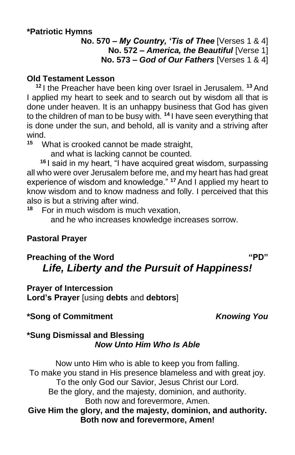#### **\*Patriotic Hymns**

**No. 570 –** *My Country, 'Tis of Thee* [Verses 1 & 4] **No. 572 –** *America, the Beautiful* [Verse 1] **No. 573 –** *God of Our Fathers* [Verses 1 & 4]

#### **Old Testament Lesson**

**<sup>12</sup>** I the Preacher have been king over Israel in Jerusalem. **<sup>13</sup>** And I applied my heart to seek and to search out by wisdom all that is done under heaven. It is an unhappy business that God has given to the children of man to be busy with. **<sup>14</sup>** I have seen everything that is done under the sun, and behold, all is vanity and a striving after wind.<br> $15 \times 10$ 

**<sup>15</sup>** What is crooked cannot be made straight,

and what is lacking cannot be counted.

**<sup>16</sup>** I said in my heart, "I have acquired great wisdom, surpassing all who were over Jerusalem before me, and my heart has had great experience of wisdom and knowledge." **<sup>17</sup>** And I applied my heart to know wisdom and to know madness and folly. I perceived that this also is but a striving after wind.<br><sup>18</sup> Eor in much wisdom is much

**<sup>18</sup>** For in much wisdom is much vexation,

and he who increases knowledge increases sorrow.

## **Pastoral Prayer**

# **Preaching of the Word "PD"** *Life, Liberty and the Pursuit of Happiness!*

**Prayer of Intercession Lord's Prayer** [using **debts** and **debtors**]

# **\*Song of Commitment** *Knowing You*

#### **\*Sung Dismissal and Blessing** *Now Unto Him Who Is Able*

Now unto Him who is able to keep you from falling. To make you stand in His presence blameless and with great joy. To the only God our Savior, Jesus Christ our Lord. Be the glory, and the majesty, dominion, and authority. Both now and forevermore, Amen. **Give Him the glory, and the majesty, dominion, and authority. Both now and forevermore, Amen!**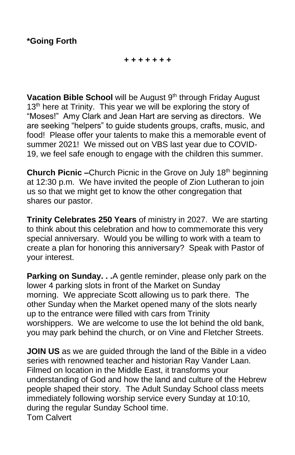#### *+ + + + + + +*

Vacation Bible School will be August 9<sup>th</sup> through Friday August 13<sup>th</sup> here at Trinity. This year we will be exploring the story of "Moses!" Amy Clark and Jean Hart are serving as directors. We are seeking "helpers" to guide students groups, crafts, music, and food! Please offer your talents to make this a memorable event of summer 2021! We missed out on VBS last year due to COVID-19, we feel safe enough to engage with the children this summer.

**Church Picnic –**Church Picnic in the Grove on July 18<sup>th</sup> beginning at 12:30 p.m. We have invited the people of Zion Lutheran to join us so that we might get to know the other congregation that shares our pastor.

**Trinity Celebrates 250 Years** of ministry in 2027. We are starting to think about this celebration and how to commemorate this very special anniversary. Would you be willing to work with a team to create a plan for honoring this anniversary? Speak with Pastor of your interest.

**Parking on Sunday. . .**A gentle reminder, please only park on the lower 4 parking slots in front of the Market on Sunday morning. We appreciate Scott allowing us to park there. The other Sunday when the Market opened many of the slots nearly up to the entrance were filled with cars from Trinity worshippers. We are welcome to use the lot behind the old bank, you may park behind the church, or on Vine and Fletcher Streets.

**JOIN US** as we are guided through the land of the Bible in a video series with renowned teacher and historian Ray Vander Laan. Filmed on location in the Middle East, it transforms your understanding of God and how the land and culture of the Hebrew people shaped their story. The Adult Sunday School class meets immediately following worship service every Sunday at 10:10, during the regular Sunday School time. Tom Calvert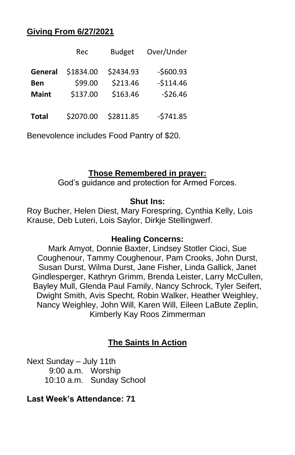#### **Giving From 6/27/2021**

|              | Rec       | <b>Budget</b> | Over/Under |
|--------------|-----------|---------------|------------|
| General      | \$1834.00 | \$2434.93     | $-$600.93$ |
| Ben          | \$99.00   | \$213.46      | $-$114.46$ |
| <b>Maint</b> | \$137.00  | \$163.46      | $-526.46$  |
| <b>Total</b> | \$2070.00 | \$2811.85     | $-5741.85$ |

Benevolence includes Food Pantry of \$20.

#### **Those Remembered in prayer:**

God's guidance and protection for Armed Forces.

#### **Shut Ins:**

Roy Bucher, Helen Diest, Mary Forespring, Cynthia Kelly, Lois Krause, Deb Luteri, Lois Saylor, Dirkje Stellingwerf.

#### **Healing Concerns:**

Mark Amyot, Donnie Baxter, Lindsey Stotler Cioci, Sue Coughenour, Tammy Coughenour, Pam Crooks, John Durst, Susan Durst, Wilma Durst, Jane Fisher, Linda Gallick, Janet Gindlesperger, Kathryn Grimm, Brenda Leister, Larry McCullen, Bayley Mull, Glenda Paul Family, Nancy Schrock, Tyler Seifert, Dwight Smith, Avis Specht, Robin Walker, Heather Weighley, Nancy Weighley, John Will, Karen Will, Eileen LaBute Zeplin, Kimberly Kay Roos Zimmerman

## **The Saints In Action**

Next Sunday – July 11th 9:00 a.m. Worship 10:10 a.m. Sunday School

#### **Last Week's Attendance: 71**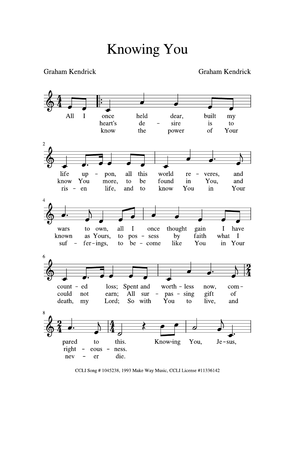Graham Kendrick



CCLI Song #1045238, 1993 Make Way Music, CCLI License #11336142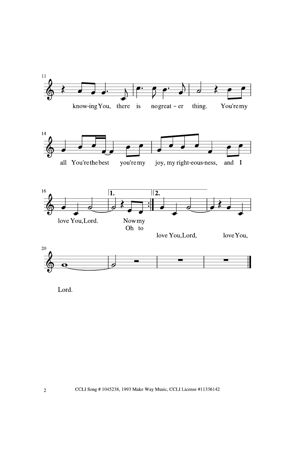

Lord.